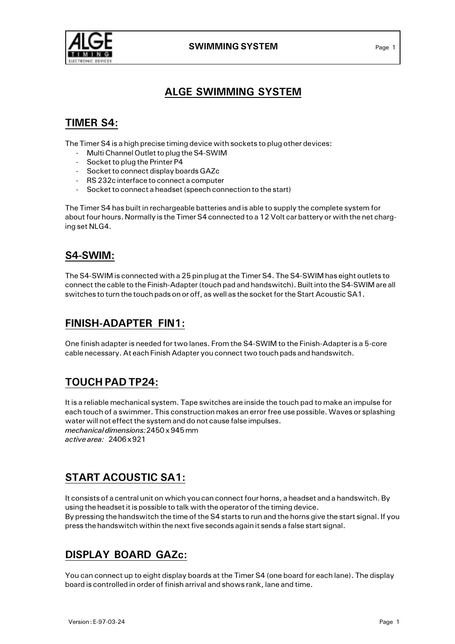

#### SWIMMING SYSTEM Page 1

# ALGE SWIMMING SYSTEM

# TIMER S4:

The Timer S4 is a high precise timing device with sockets to plug other devices:

- Multi Channel Outlet to plug the S4-SWIM
- Socket to plug the Printer P4
- Socket to connect display boards GAZc
- RS 232c interface to connect a computer
- Socket to connect a headset (speech connection to the start)

The Timer S4 has built in rechargeable batteries and is able to supply the complete system for about four hours. Normally is the Timer S4 connected to a 12 Volt car battery or with the net charging set NLG4.

# S4-SWIM:

The S4-SWIM is connected with a 25 pin plug at the Timer S4. The S4-SWIM has eight outlets to connect the cable to the Finish-Adapter (touch pad and handswitch). Built into the S4-SWIM are all switches to turn the touch pads on or off, as well as the socket for the Start Acoustic SA1.

## FINISH-ADAPTER FIN1:

One finish adapter is needed for two lanes. From the S4-SWIM to the Finish-Adapter is a 5-core cable necessary. At each Finish Adapter you connect two touch pads and handswitch.

# TOUCH PAD TP24:

It is a reliable mechanical system. Tape switches are inside the touch pad to make an impulse for each touch of a swimmer. This construction makes an error free use possible. Waves or splashing water will not effect the system and do not cause false impulses. mechanical dimensions:2450 x 945 mm active area: 2406 x 921

# START ACOUSTIC SA1:

It consists of a central unit on which you can connect four horns, a headset and a handswitch. By using the headset it is possible to talk with the operator of the timing device. By pressing the handswitch the time of the S4 starts to run and the horns give the start signal. If you press the handswitch within the next five seconds again it sends a false start signal.

# DISPLAY BOARD GAZc:

You can connect up to eight display boards at the Timer S4 (one board for each lane). The display board is controlled in order of finish arrival and shows rank, lane and time.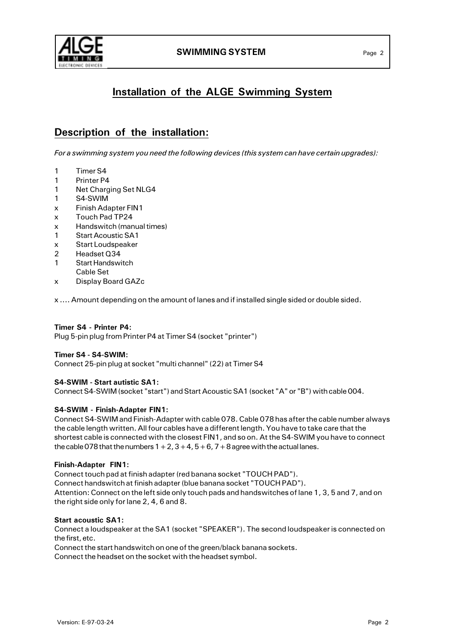



# Installation of the ALGE Swimming System

## Description of the installation:

For a swimming system you need the following devices (this system can have certain upgrades):

- 1 Timer S4
- 1 Printer P4
- 1 Net Charging Set NLG4
- 1 S4-SWIM
- x Finish Adapter FIN1
- x Touch Pad TP24
- x Handswitch (manual times)
- 1 Start Acoustic SA1
- x Start Loudspeaker
- 2 Headset Q34
- 1 Start Handswitch Cable Set
- x Display Board GAZc

x .... Amount depending on the amount of lanes and if installed single sided or double sided.

#### Timer S4 - Printer P4:

Plug 5-pin plug from Printer P4 at Timer S4 (socket "printer")

#### Timer S4 - S4-SWIM:

Connect 25-pin plug at socket "multi channel" (22) at Timer S4

#### S4-SWIM - Start autistic SA1:

Connect S4-SWIM (socket "start") and Start Acoustic SA1 (socket "A" or "B") with cable 004.

#### S4-SWIM - Finish-Adapter FIN1:

Connect S4-SWIM and Finish-Adapter with cable 078. Cable 078 has after the cable number always the cable length written. All four cables have a different length. You have to take care that the shortest cable is connected with the closest FIN1, and so on. At the S4-SWIM you have to connect the cable 078 that the numbers  $1+2$ ,  $3+4$ ,  $5+6$ ,  $7+8$  agree with the actual lanes.

#### Finish-Adapter FIN1:

Connect touch pad at finish adapter (red banana socket "TOUCH PAD"). Connect handswitch at finish adapter (blue banana socket "TOUCH PAD"). Attention: Connect on the left side only touch pads and handswitches of lane 1, 3, 5 and 7, and on the right side only for lane 2, 4, 6 and 8.

#### Start acoustic SA1:

Connect a loudspeaker at the SA1 (socket "SPEAKER"). The second loudspeaker is connected on the first, etc.

Connect the start handswitch on one of the green/black banana sockets.

Connect the headset on the socket with the headset symbol.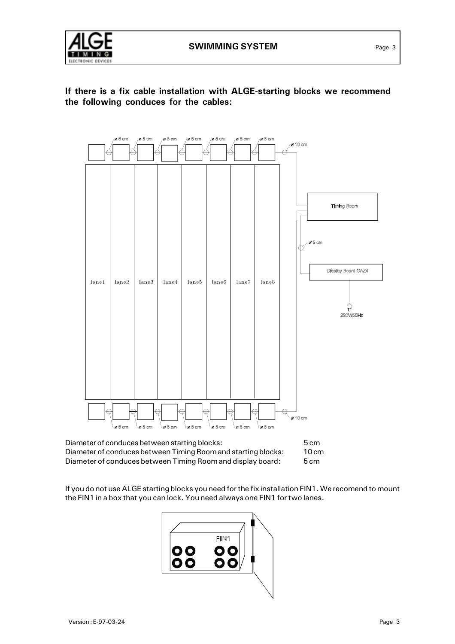





| Diameter of conduces between starting blocks:                 | $5 \text{ cm}$ |
|---------------------------------------------------------------|----------------|
| Diameter of conduces between Timing Room and starting blocks: | 10cm           |
| Diameter of conduces between Timing Room and display board:   | 5cm            |

If you do not use ALGE starting blocks you need for the fix installation FIN1. We recomend to mount the FIN1 in a box that you can lock. You need always one FIN1 for two lanes.

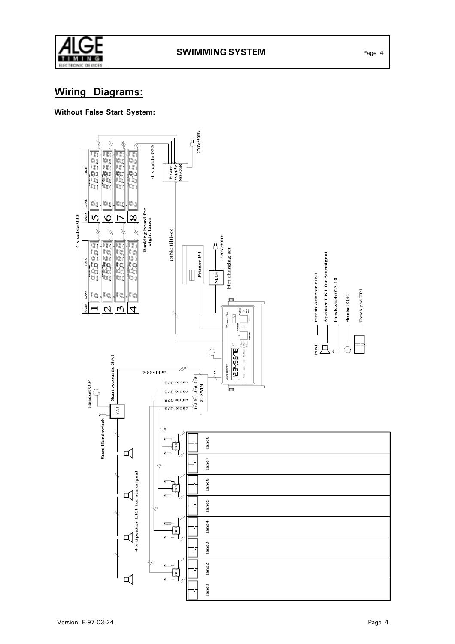

# Wiring Diagrams:

#### Without False Start System:

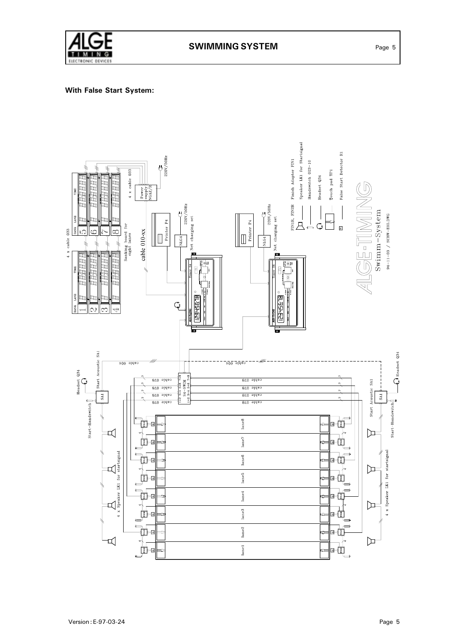

#### With False Start System:

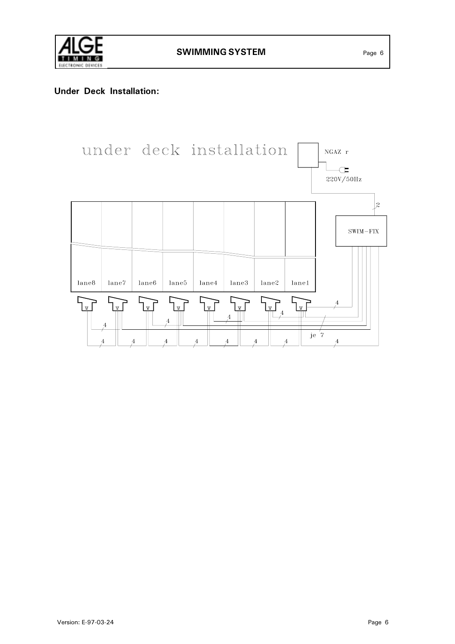

### Under Deck Installation:

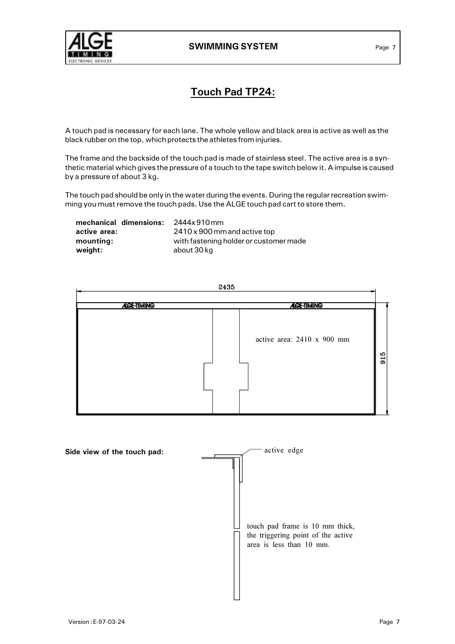

# Touch Pad TP24:

A touch pad is necessary for each lane. The whole yellow and black area is active as well as the black rubber on the top, which protects the athletes from injuries.

The frame and the backside of the touch pad is made of stainless steel. The active area is a synthetic material which gives the pressure of a touch to the tape switch below it. A impulse is caused by a pressure of about 3 kg.

The touch pad should be only in the water during the events. During the regular recreation swimming you must remove the touch pads. Use the ALGE touch pad cart to store them.

| mechanical dimensions: | 2444x910mm                             |
|------------------------|----------------------------------------|
| active area:           | 2410 x 900 mm and active top           |
| mounting:              | with fastening holder or customer made |
| weight:                | about 30 kg                            |

|                   | 2435                                              |
|-------------------|---------------------------------------------------|
| <b>AGE-TIMING</b> | <b>AGE-TIMING</b>                                 |
|                   | active area: 2410 x 900 mm<br>Ю<br>$\overline{5}$ |

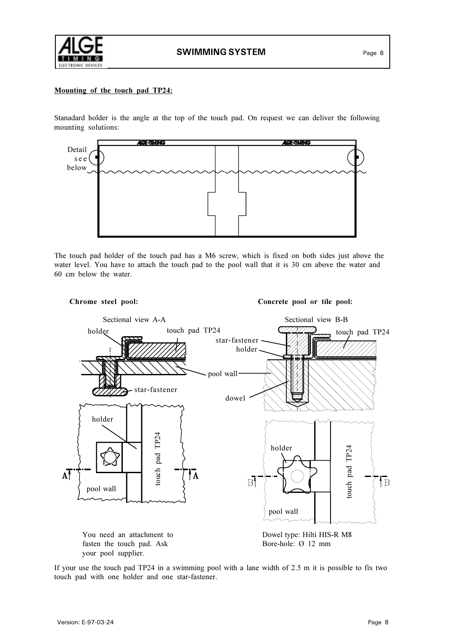

#### Mounting of the touch pad TP24:

Stanadard holder is the angle at the top of the touch pad. On request we can deliver the following mounting solutions:



The touch pad holder of the touch pad has a M6 screw, which is fixed on both sides just above the water level. You have to attach the touch pad to the pool wall that it is 30 cm above the water and 60 cm below the water.



If your use the touch pad TP24 in a swimming pool with a lane width of 2.5 m it is possible to fix two touch pad with one holder and one star-fastener.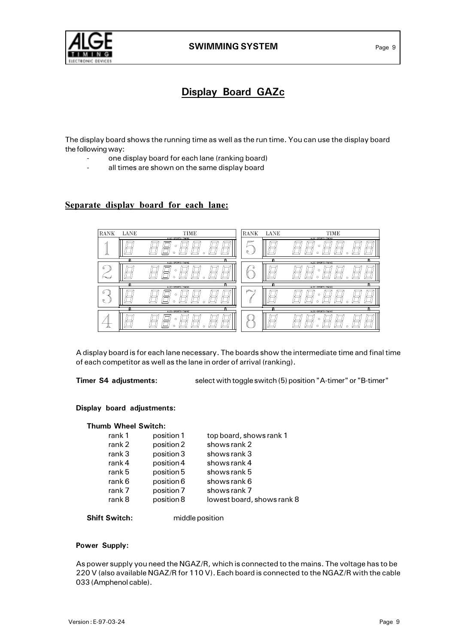

# Display Board GAZc

The display board shows the running time as well as the run time. You can use the display board the following way:

- one display board for each lane (ranking board)
- all times are shown on the same display board

#### Separate display board for each lane:

| RANK             | LANE | TIME<br>ALGE-SPORTS-TIMING | RANK   | LANE | TIME<br>ALGE-SPORTS-TIMING |
|------------------|------|----------------------------|--------|------|----------------------------|
|                  |      | o                          | =<br>۰ |      | n                          |
|                  | A    | A<br>ALCE-SPORTS-TIMING    |        | ۰    | ø<br>ALCE-SPORTS-TIMING    |
| ۰<br>宝           |      | $\Omega$                   |        |      | Ω                          |
|                  | А    | ø<br>ALCC-SPORTS-TIMING    |        | G    | ົ<br>ALCE-SPORTS-TIMING    |
| ۰<br>$^{\circ}$  |      | O                          |        |      | n<br>Ω                     |
| ۰<br>ø<br>o<br>o |      |                            |        |      |                            |
|                  |      | ALCE-SPORTS-TIMING<br>ົ    |        |      | ALCE-SPORTS-TIMING<br>c    |

A display board is for each lane necessary. The boards show the intermediate time and final time of each competitor as well as the lane in order of arrival (ranking).

Timer S4 adjustments: select with toggle switch (5) position "A-timer" or "B-timer"

#### Display board adjustments:

#### Thumb Wheel Switch:

| rank 1 | position 1 | top board, shows rank 1    |
|--------|------------|----------------------------|
| rank 2 | position 2 | shows rank 2               |
| rank 3 | position 3 | shows rank 3               |
| rank 4 | position 4 | shows rank 4               |
| rank 5 | position 5 | shows rank 5               |
| rank 6 | position 6 | shows rank 6               |
| rank 7 | position 7 | shows rank 7               |
| rank 8 | position 8 | lowest board, shows rank 8 |

Shift Switch: middle position

#### Power Supply:

As power supply you need the NGAZ/R, which is connected to the mains. The voltage has to be 220 V (also available NGAZ/R for 110 V). Each board is connected to the NGAZ/R with the cable 033 (Amphenol cable).